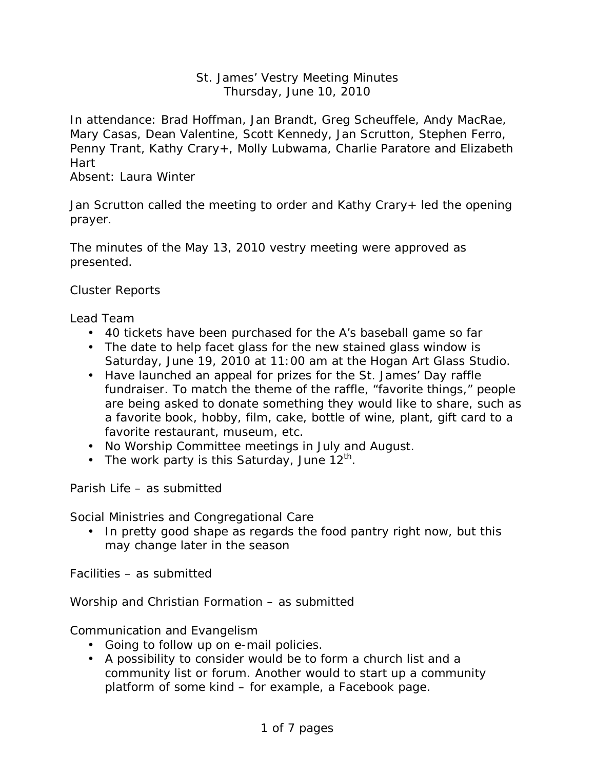## St. James' Vestry Meeting Minutes Thursday, June 10, 2010

In attendance: Brad Hoffman, Jan Brandt, Greg Scheuffele, Andy MacRae, Mary Casas, Dean Valentine, Scott Kennedy, Jan Scrutton, Stephen Ferro, Penny Trant, Kathy Crary+, Molly Lubwama, Charlie Paratore and Elizabeth Hart

Absent: Laura Winter

Jan Scrutton called the meeting to order and Kathy Crary+ led the opening prayer.

The minutes of the May 13, 2010 vestry meeting were approved as presented.

Cluster Reports

Lead Team

- 40 tickets have been purchased for the A's baseball game so far
- The date to help facet glass for the new stained glass window is Saturday, June 19, 2010 at 11:00 am at the Hogan Art Glass Studio.
- Have launched an appeal for prizes for the St. James' Day raffle fundraiser. To match the theme of the raffle, "favorite things," people are being asked to donate something they would like to share, such as a favorite book, hobby, film, cake, bottle of wine, plant, gift card to a favorite restaurant, museum, etc.
- No Worship Committee meetings in July and August.
- The work party is this Saturday, June  $12^{th}$ .

Parish Life – as submitted

Social Ministries and Congregational Care

• In pretty good shape as regards the food pantry right now, but this may change later in the season

Facilities – as submitted

Worship and Christian Formation – as submitted

Communication and Evangelism

- Going to follow up on e-mail policies.
- A possibility to consider would be to form a church list and a community list or forum. Another would to start up a community platform of some kind – for example, a Facebook page.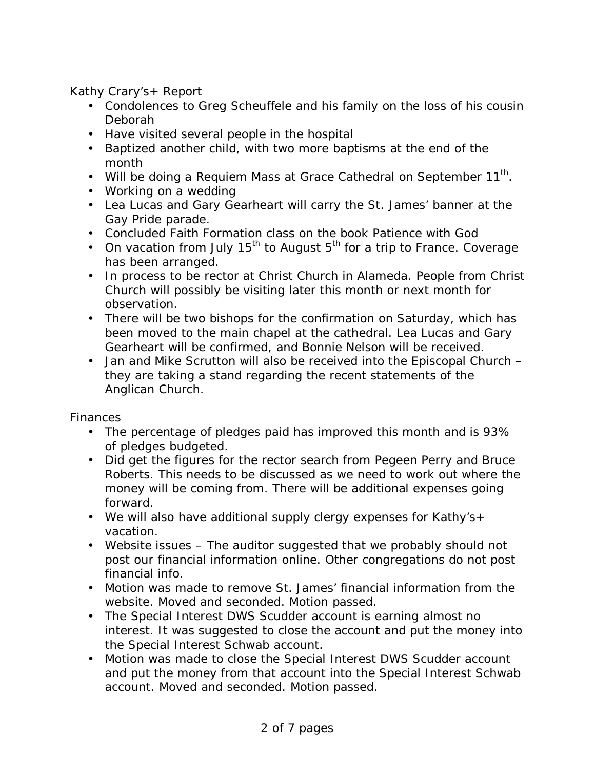Kathy Crary's+ Report

- Condolences to Greg Scheuffele and his family on the loss of his cousin Deborah
- Have visited several people in the hospital
- Baptized another child, with two more baptisms at the end of the month
- Will be doing a Requiem Mass at Grace Cathedral on September 11<sup>th</sup>.
- Working on a wedding
- Lea Lucas and Gary Gearheart will carry the St. James' banner at the Gay Pride parade.
- Concluded Faith Formation class on the book Patience with God
- On vacation from July 15<sup>th</sup> to August 5<sup>th</sup> for a trip to France. Coverage has been arranged.
- In process to be rector at Christ Church in Alameda. People from Christ Church will possibly be visiting later this month or next month for observation.
- There will be two bishops for the confirmation on Saturday, which has been moved to the main chapel at the cathedral. Lea Lucas and Gary Gearheart will be confirmed, and Bonnie Nelson will be received.
- Jan and Mike Scrutton will also be received into the Episcopal Church they are taking a stand regarding the recent statements of the Anglican Church.

Finances

- The percentage of pledges paid has improved this month and is 93% of pledges budgeted.
- Did get the figures for the rector search from Pegeen Perry and Bruce Roberts. This needs to be discussed as we need to work out where the money will be coming from. There will be additional expenses going forward.
- We will also have additional supply clergy expenses for Kathy's+ vacation.
- Website issues The auditor suggested that we probably should not post our financial information online. Other congregations do not post financial info.
- Motion was made to remove St. James' financial information from the website. Moved and seconded. Motion passed.
- The Special Interest DWS Scudder account is earning almost no interest. It was suggested to close the account and put the money into the Special Interest Schwab account.
- Motion was made to close the Special Interest DWS Scudder account and put the money from that account into the Special Interest Schwab account. Moved and seconded. Motion passed.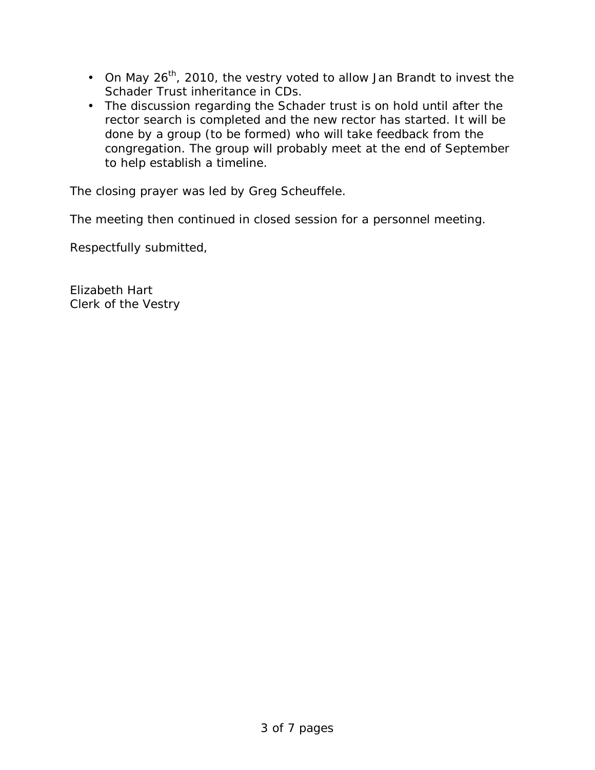- On May 26<sup>th</sup>, 2010, the vestry voted to allow Jan Brandt to invest the Schader Trust inheritance in CDs.
- The discussion regarding the Schader trust is on hold until after the rector search is completed and the new rector has started. It will be done by a group (to be formed) who will take feedback from the congregation. The group will probably meet at the end of September to help establish a timeline.

The closing prayer was led by Greg Scheuffele.

The meeting then continued in closed session for a personnel meeting.

Respectfully submitted,

Elizabeth Hart Clerk of the Vestry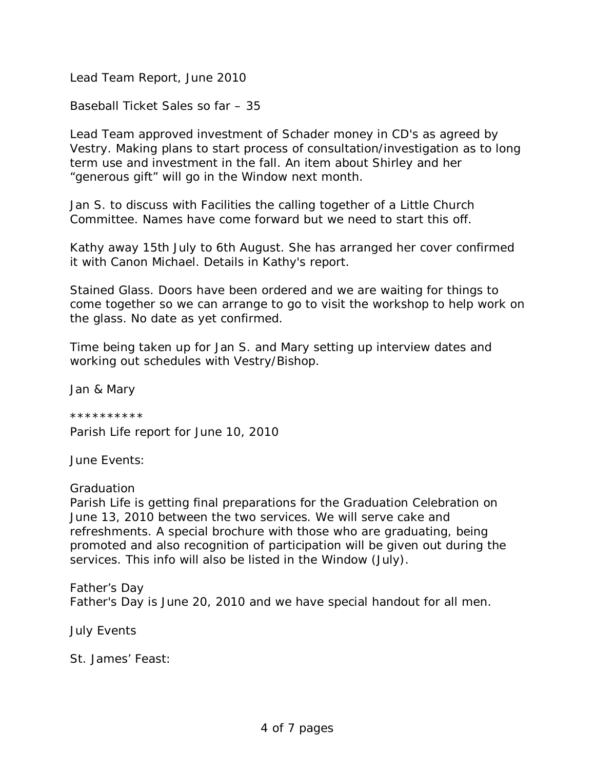Lead Team Report, June 2010

Baseball Ticket Sales so far – 35

Lead Team approved investment of Schader money in CD's as agreed by Vestry. Making plans to start process of consultation/investigation as to long term use and investment in the fall. An item about Shirley and her "generous gift" will go in the Window next month.

Jan S. to discuss with Facilities the calling together of a Little Church Committee. Names have come forward but we need to start this off.

Kathy away 15th July to 6th August. She has arranged her cover confirmed it with Canon Michael. Details in Kathy's report.

Stained Glass. Doors have been ordered and we are waiting for things to come together so we can arrange to go to visit the workshop to help work on the glass. No date as yet confirmed.

Time being taken up for Jan S. and Mary setting up interview dates and working out schedules with Vestry/Bishop.

Jan & Mary

\*\*\*\*\*\*\*\*\*\* Parish Life report for June 10, 2010

June Events:

## *Graduation*

Parish Life is getting final preparations for the Graduation Celebration on June 13, 2010 between the two services. We will serve cake and refreshments. A special brochure with those who are graduating, being promoted and also recognition of participation will be given out during the services. This info will also be listed in the Window (July).

*Father's Day* Father's Day is June 20, 2010 and we have special handout for all men.

July Events

*St. James' Feast:*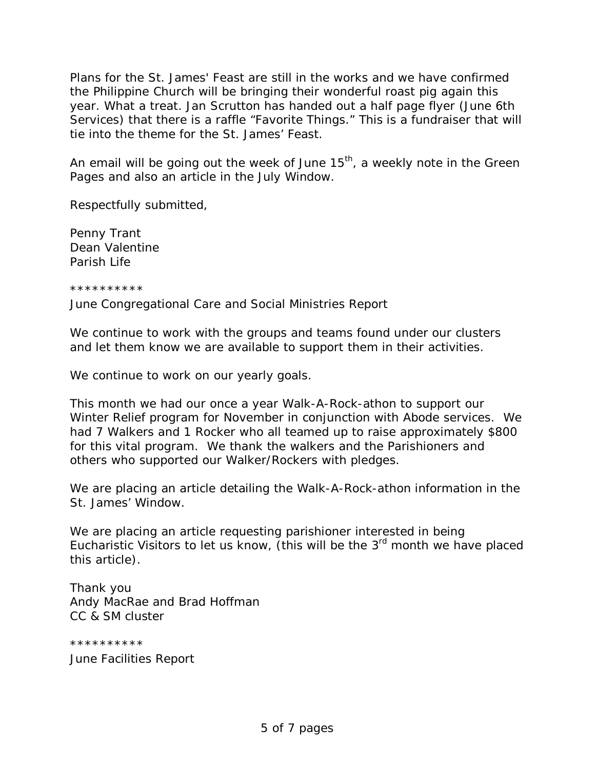Plans for the St. James' Feast are still in the works and we have confirmed the Philippine Church will be bringing their wonderful roast pig again this year. What a treat. Jan Scrutton has handed out a half page flyer (June 6th Services) that there is a raffle "Favorite Things." This is a fundraiser that will tie into the theme for the St. James' Feast.

An email will be going out the week of June 15<sup>th</sup>, a weekly note in the Green Pages and also an article in the July Window.

Respectfully submitted,

Penny Trant Dean Valentine Parish Life

\*\*\*\*\*\*\*\*\*\*

June Congregational Care and Social Ministries Report

We continue to work with the groups and teams found under our clusters and let them know we are available to support them in their activities.

We continue to work on our yearly goals.

This month we had our once a year Walk-A-Rock-athon to support our Winter Relief program for November in conjunction with Abode services. We had 7 Walkers and 1 Rocker who all teamed up to raise approximately \$800 for this vital program. We thank the walkers and the Parishioners and others who supported our Walker/Rockers with pledges.

We are placing an article detailing the Walk-A-Rock-athon information in the St. James' Window.

We are placing an article requesting parishioner interested in being Eucharistic Visitors to let us know, (this will be the  $3<sup>rd</sup>$  month we have placed this article).

Thank you Andy MacRae and Brad Hoffman CC & SM cluster

\*\*\*\*\*\*\*\*\*\* June Facilities Report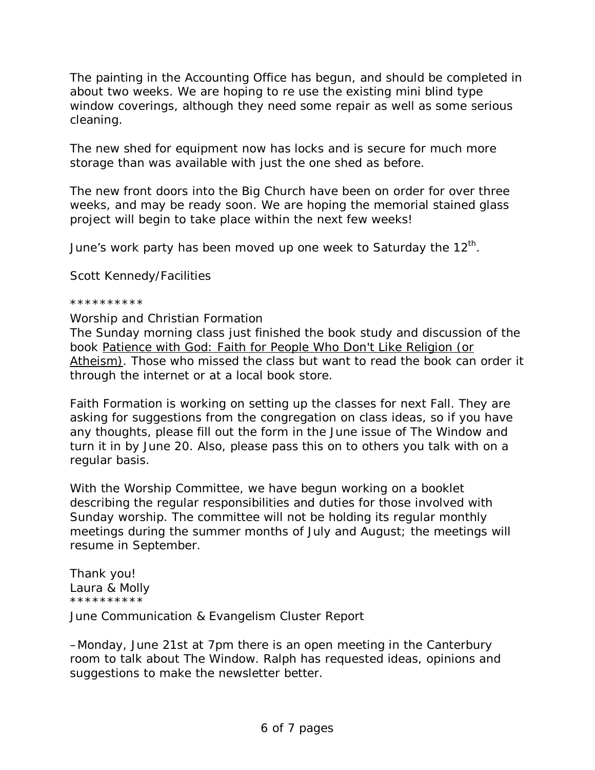The painting in the Accounting Office has begun, and should be completed in about two weeks. We are hoping to re use the existing mini blind type window coverings, although they need some repair as well as some serious cleaning.

The new shed for equipment now has locks and is secure for much more storage than was available with just the one shed as before.

The new front doors into the Big Church have been on order for over three weeks, and may be ready soon. We are hoping the memorial stained glass project will begin to take place within the next few weeks!

June's work party has been moved up one week to Saturday the 12<sup>th</sup>.

Scott Kennedy/Facilities

## \*\*\*\*\*\*\*\*\*\*

Worship and Christian Formation

The Sunday morning class just finished the book study and discussion of the book Patience with God: Faith for People Who Don't Like Religion (or Atheism)*. Those who missed the class but want to read the book can order it through the internet or at a local book store.*

Faith Formation is working on setting up the classes for next Fall. They are asking for suggestions from the congregation on class ideas, so if you have any thoughts, please fill out the form in the June issue of *The Window* and turn it in by June 20. Also, please pass this on to others you talk with on a regular basis.

With the Worship Committee, we have begun working on a booklet describing the regular responsibilities and duties for those involved with Sunday worship. The committee will not be holding its regular monthly meetings during the summer months of July and August; the meetings will resume in September.

Thank you! Laura & Molly \*\*\*\*\*\*\*\*\*\*

June Communication & Evangelism Cluster Report

–Monday, June 21st at 7pm there is an open meeting in the Canterbury room to talk about *The Window*. Ralph has requested ideas, opinions and suggestions to make the newsletter better.